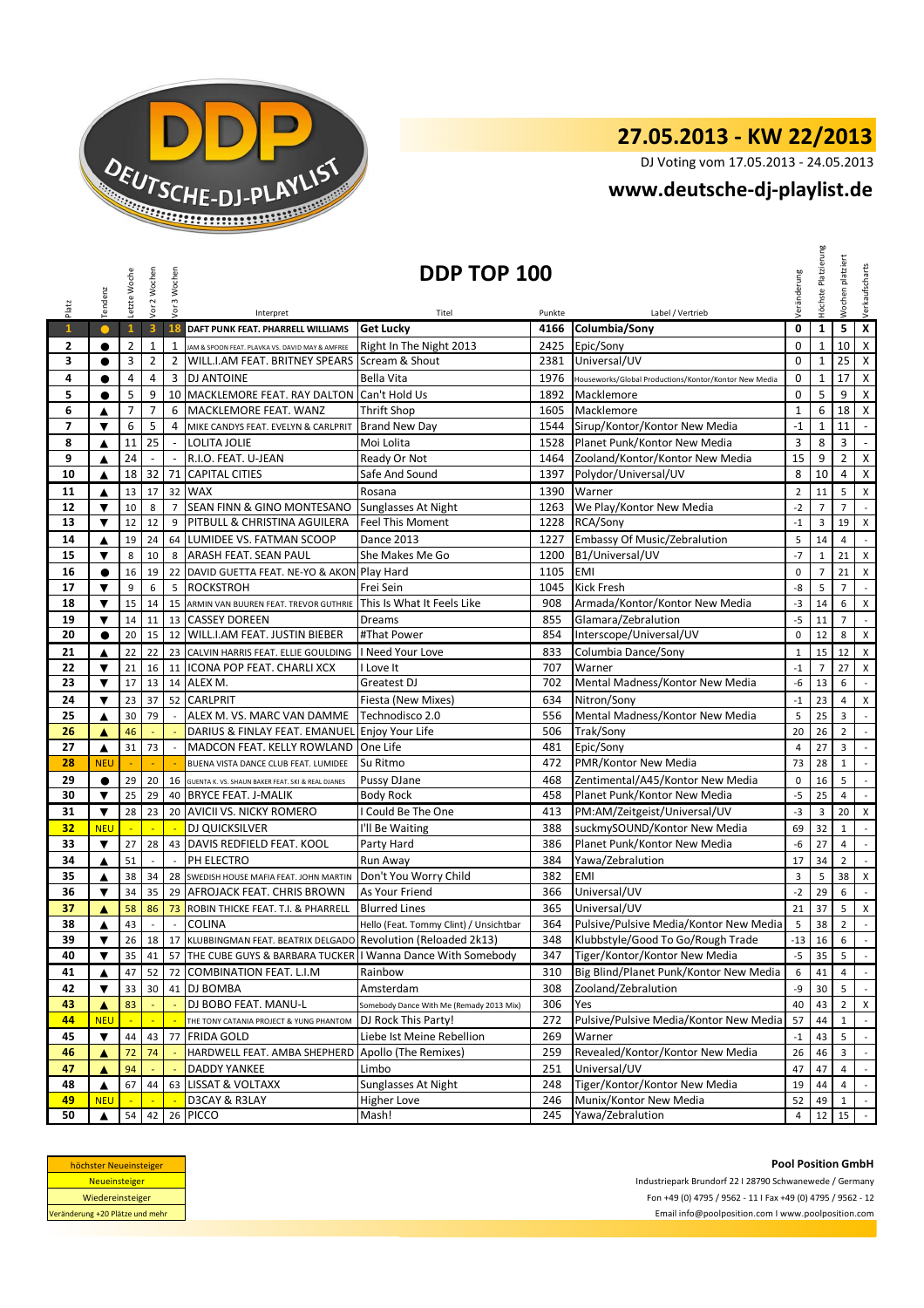

## **27.05.2013 - KW 22/2013**

DJ Voting vom 17.05.2013 - 24.05.2013

## **www.deutsche-dj-playlist.de**

|                | Tendenz                                                                                                                         | Letzte Woche   | Vor 2 Wochen   | Vor 3 Wochen   |                                                                 | DDP TOP 100                              |            |                                                       | Veränderung          | Platzierun<br>Höchste | Wochen platziert                          | Verkaufscharts                     |
|----------------|---------------------------------------------------------------------------------------------------------------------------------|----------------|----------------|----------------|-----------------------------------------------------------------|------------------------------------------|------------|-------------------------------------------------------|----------------------|-----------------------|-------------------------------------------|------------------------------------|
| Platz          |                                                                                                                                 |                |                |                | Interpret                                                       | Titel                                    | Punkte     | Label / Vertrieb                                      |                      |                       |                                           |                                    |
| $\mathbf{1}$   | $\bullet$                                                                                                                       | $\mathbf{1}$   | 3              | 18             | DAFT PUNK FEAT. PHARRELL WILLIAMS                               | <b>Get Lucky</b>                         | 4166       | Columbia/Sony                                         | 0                    | $\mathbf{1}$          | 5                                         | $\overline{\mathbf{x}}$            |
| $\mathbf{2}$   | $\bullet$                                                                                                                       | $\mathbf{2}$   | $\mathbf 1$    | 1              | JAM & SPOON FEAT. PLAVKA VS. DAVID MAY & AMFREE                 | Right In The Night 2013                  | 2425       | Epic/Sony                                             | $\mathbf 0$          | $\mathbf{1}$          | 10                                        | X                                  |
| 3              | $\bullet$                                                                                                                       | 3              | 2              | 2              | WILL.I.AM FEAT. BRITNEY SPEARS                                  | Scream & Shout                           | 2381       | Universal/UV                                          | $\mathbf 0$          | $\mathbf{1}$          | 25                                        | $\mathsf{X}$                       |
| 4              | $\bullet$                                                                                                                       | 4              | 4              | 3              | <b>DJ ANTOINE</b>                                               | Bella Vita                               | 1976       | Houseworks/Global Productions/Kontor/Kontor New Media | 0                    | $\mathbf{1}$          | 17                                        | $\mathsf{X}$                       |
| 5              | $\bullet$                                                                                                                       | 5              | 9              |                | 10 MACKLEMORE FEAT. RAY DALTON                                  | Can't Hold Us                            | 1892       | Macklemore                                            | $\pmb{0}$            | 5                     | 9                                         | $\mathsf{X}$                       |
| 6              | ▲                                                                                                                               | $\overline{7}$ | $\overline{7}$ | 6              | MACKLEMORE FEAT. WANZ                                           | Thrift Shop                              | 1605       | Macklemore                                            | $\mathbf{1}$         | 6                     | 18                                        | X                                  |
| $\overline{ }$ | ▼                                                                                                                               | 6              | 5              | 4              | MIKE CANDYS FEAT. EVELYN & CARLPRIT                             | <b>Brand New Day</b>                     | 1544       | Sirup/Kontor/Kontor New Media                         | $-1$                 | $\mathbf{1}$          | 11                                        | $\sim$                             |
| 8              | ▲                                                                                                                               | 11             | 25             | $\sim$         | LOLITA JOLIE                                                    | Moi Lolita                               | 1528       | Planet Punk/Kontor New Media                          | 3                    | 8                     | 3                                         | $\sim$                             |
| 9              | ▲                                                                                                                               | 24             |                |                | R.I.O. FEAT. U-JEAN                                             | Ready Or Not                             | 1464       | Zooland/Kontor/Kontor New Media                       | 15                   | 9                     | $\overline{2}$                            | $\boldsymbol{\mathsf{x}}$          |
| 10             | ▲                                                                                                                               | 18             | 32             | 71             | <b>CAPITAL CITIES</b>                                           | Safe And Sound                           | 1397       | Polydor/Universal/UV                                  | 8                    | 10                    | 4                                         | $\mathsf{X}$                       |
| 11             | ▲                                                                                                                               | 13             | 17             |                | 32 WAX                                                          | Rosana                                   | 1390       | Warner                                                | $\overline{2}$       | 11                    | 5                                         | $\times$                           |
| 12             | ▼                                                                                                                               | 10             | 8              | $\overline{7}$ | SEAN FINN & GINO MONTESANO                                      | Sunglasses At Night                      | 1263       | We Play/Kontor New Media                              | $-2$                 | $\overline{7}$        | $\overline{7}$                            | $\sim$                             |
| 13             | ▼                                                                                                                               | 12             | 12             | 9              | PITBULL & CHRISTINA AGUILERA                                    | <b>Feel This Moment</b>                  | 1228       | RCA/Sony                                              | $\mathbf{-1}$        | $\overline{3}$        | 19                                        | $\mathsf{x}$                       |
| 14             | ▲                                                                                                                               | 19             | 24             | 64             | LUMIDEE VS. FATMAN SCOOP                                        | <b>Dance 2013</b>                        | 1227       | Embassy Of Music/Zebralution                          | 5                    | 14                    | $\overline{4}$                            | $\sim$                             |
| 15             | ▼                                                                                                                               | 8              | 10             | 8              | ARASH FEAT. SEAN PAUL                                           | She Makes Me Go                          | 1200       | B1/Universal/UV                                       | $-7$                 | $\mathbf{1}$          | 21                                        | X                                  |
| 16             | $\bullet$                                                                                                                       | 16             | 19             | 22             | DAVID GUETTA FEAT. NE-YO & AKON Play Hard                       |                                          | 1105       | <b>EMI</b>                                            | $\mathbf 0$          | $\overline{7}$        | 21                                        | $\pmb{\mathsf{X}}$                 |
| 17             | $\blacktriangledown$                                                                                                            | 9              | 6              | 5              | <b>ROCKSTROH</b>                                                | Frei Sein                                | 1045       | <b>Kick Fresh</b>                                     | -8                   | 5                     | $\overline{7}$                            | $\mathcal{L}^{\mathcal{L}}$        |
| 18             | ▼                                                                                                                               | 15             | 14             | 15             | ARMIN VAN BUUREN FEAT. TREVOR GUTHRIE                           | This Is What It Feels Like               | 908        | Armada/Kontor/Kontor New Media                        | $-3$                 | 14                    | 6                                         | X                                  |
| 19             | ▼                                                                                                                               | 14             | 11             | 13             | <b>CASSEY DOREEN</b>                                            | Dreams                                   | 855        | Glamara/Zebralution                                   | $-5$                 | 11                    | $\overline{7}$                            | $\sim$                             |
| 20             | $\bullet$                                                                                                                       | 20             | 15             | 12             | <b>WILL.I.AM FEAT. JUSTIN BIEBER</b>                            | #That Power                              | 854        | Interscope/Universal/UV                               | 0                    | 12                    | 8                                         | $\mathsf{x}$                       |
| 21             | ▲                                                                                                                               | 22             | 22             | 23             | CALVIN HARRIS FEAT. ELLIE GOULDING                              | I Need Your Love                         | 833        | Columbia Dance/Sony                                   | $\mathbf{1}$         | 15                    | 12                                        | $\mathsf{x}$                       |
| 22<br>23       | ▼<br>$\overline{\textbf{v}}$                                                                                                    | 21             | 16             |                | 11   ICONA POP FEAT. CHARLI XCX                                 | I Love It<br>Greatest DJ                 | 707<br>702 | Warner                                                | $\mathbf{-1}$        | $\overline{7}$        | 27                                        | $\pmb{\mathsf{X}}$                 |
|                |                                                                                                                                 | 17             | 13             | 14             | ALEX M.                                                         |                                          |            | Mental Madness/Kontor New Media                       | $-6$                 | 13                    | 6                                         | $\sim$                             |
| 24             | ▼                                                                                                                               | 23             | 37<br>79       |                | 52 CARLPRIT                                                     | Fiesta (New Mixes)                       | 634        | Nitron/Sony                                           | $-1$                 | 23                    | $\overline{4}$                            | $\mathsf X$                        |
| 25             | ▲                                                                                                                               | 30             |                |                | ALEX M. VS. MARC VAN DAMME                                      | Technodisco 2.0                          | 556        | Mental Madness/Kontor New Media                       | 5                    | 25                    | 3                                         | $\sim$                             |
| 26<br>27       | ▲<br>▲                                                                                                                          | 46<br>31       | 73             |                | DARIUS & FINLAY FEAT. EMANUEL<br>MADCON FEAT. KELLY ROWLAND     | Enjoy Your Life<br>One Life              | 506<br>481 | Trak/Sony<br>Epic/Sony                                | 20<br>$\overline{4}$ | 26<br>27              | $\overline{2}$<br>$\overline{\mathbf{3}}$ | $\overline{\phantom{a}}$<br>$\sim$ |
| 28             | <b>NEU</b>                                                                                                                      |                |                |                | BUENA VISTA DANCE CLUB FEAT. LUMIDEE                            | Su Ritmo                                 | 472        | PMR/Kontor New Media                                  | 73                   | 28                    | $\mathbf{1}$                              | $\sim$                             |
| 29             | $\bullet$                                                                                                                       | 29             | 20             | 16             | GUENTA K. VS. SHAUN BAKER FEAT. SKI & REAL DJANES               | Pussy DJane                              | 468        | Zentimental/A45/Kontor New Media                      | 0                    | 16                    | 5                                         | $\mathbb{Z}^2$                     |
| 30             | ▼                                                                                                                               | 25             | 29             | 40             | <b>BRYCE FEAT. J-MALIK</b>                                      | <b>Body Rock</b>                         | 458        | Planet Punk/Kontor New Media                          | $-5$                 | 25                    | $\overline{4}$                            | $\sim$                             |
| 31             | ▼                                                                                                                               | 28             | 23             |                | 20 AVICII VS. NICKY ROMERO                                      | I Could Be The One                       | 413        | PM:AM/Zeitgeist/Universal/UV                          | $-3$                 | 3                     | 20                                        | X                                  |
| 32             | <b>NEU</b>                                                                                                                      |                |                |                | DJ QUICKSILVER                                                  | I'll Be Waiting                          | 388        | suckmySOUND/Kontor New Media                          | 69                   | 32                    | $\mathbf{1}$                              | $\sim$                             |
| 33             | ▼                                                                                                                               | 27             | 28             |                | 43 DAVIS REDFIELD FEAT. KOOL                                    | Party Hard                               | 386        | Planet Punk/Kontor New Media                          | $-6$                 | 27                    | $\overline{4}$                            | $\sim$                             |
| 34             | ▲                                                                                                                               | 51             |                |                | PH ELECTRO                                                      | Run Away                                 | 384        | Yawa/Zebralution                                      | 17                   | 34                    | $\overline{2}$                            | $\sim$                             |
| 35             | ▲                                                                                                                               | 38             | 34             | 28             | SWEDISH HOUSE MAFIA FEAT. JOHN MARTIN                           | Don't You Worry Child                    | 382        | EMI                                                   | 3                    | 5                     | 38                                        | $\mathsf{x}$                       |
| 36             | ▼                                                                                                                               | 34             | 35             | 29             | AFROJACK FEAT. CHRIS BROWN                                      | As Your Friend                           | 366        | Universal/UV                                          | $-2$                 | 29                    | 6                                         | $\sim$                             |
| 37             | A                                                                                                                               | 58             | 86             | 73             | ROBIN THICKE FEAT. T.I. & PHARRELL                              | <b>Blurred Lines</b>                     | 365        | Universal/UV                                          | 21                   | 37                    | $5 -$                                     | X                                  |
| 38             | ▲                                                                                                                               | 43             | $\mathcal{L}$  | $\sim$         | <b>COLINA</b>                                                   | Hello (Feat. Tommy Clint) / Unsichtbar   | 364        | Pulsive/Pulsive Media/Kontor New Media                | 5                    | 38                    | $\overline{2}$                            | $\sim$                             |
| 39             | $\blacktriangledown$                                                                                                            | 26             | 18             |                | 17 KLUBBINGMAN FEAT. BEATRIX DELGADO Revolution (Reloaded 2k13) |                                          | 348        | Klubbstyle/Good To Go/Rough Trade                     | $-13$                | 16                    | 6 <sup>1</sup>                            | $\mathcal{L}$                      |
| 40             | ▼                                                                                                                               | 35             | 41             | 57             | THE CUBE GUYS & BARBARA TUCKER   I Wanna Dance With Somebody    |                                          | 347        | Tiger/Kontor/Kontor New Media                         | $-5$                 | 35                    | 5                                         | $\sim$                             |
| 41             | ▲                                                                                                                               | 47             | 52             | 72             | <b>COMBINATION FEAT. L.I.M</b>                                  | Rainbow                                  | 310        | Big Blind/Planet Punk/Kontor New Media                | 6                    | 41                    | $\overline{4}$                            | $\sim$                             |
| 42             | ▼                                                                                                                               | 33             | 30             | 41             | DJ BOMBA                                                        | Amsterdam                                | 308        | Zooland/Zebralution                                   | -9                   | 30                    | 5                                         | $\sim$                             |
| 43             | ▲                                                                                                                               | 83             |                |                | DJ BOBO FEAT. MANU-L                                            | Somebody Dance With Me (Remady 2013 Mix) | 306        | Yes                                                   | 40                   | 43                    | $\overline{2}$                            | X                                  |
| 44             | <b>NEU</b>                                                                                                                      |                |                |                | THE TONY CATANIA PROJECT & YUNG PHANTOM                         | DJ Rock This Party!                      | 272        | Pulsive/Pulsive Media/Kontor New Media                | 57                   | 44                    | $\mathbf{1}$                              | $\sim$                             |
| 45             | ▼                                                                                                                               | 44             | 43             |                | 77 FRIDA GOLD                                                   | Liebe Ist Meine Rebellion                | 269        | Warner                                                | $^{\mbox{-}1}$       | 43                    | 5                                         | $\sim$                             |
| 46             | ▲                                                                                                                               | 72             | 74             |                | HARDWELL FEAT. AMBA SHEPHERD                                    | Apollo (The Remixes)                     | 259        | Revealed/Kontor/Kontor New Media                      | 26                   | 46                    | 3                                         | $\sim$                             |
| 47             | ▲                                                                                                                               | 94             |                |                | DADDY YANKEE                                                    | Limbo                                    | 251        | Universal/UV                                          | 47                   | 47                    | 4                                         | $\mathcal{L}$                      |
| 48             | ▲                                                                                                                               | 67             | 44             |                | 63 LISSAT & VOLTAXX                                             | Sunglasses At Night                      | 248        | Tiger/Kontor/Kontor New Media                         | 19                   | 44                    | 4                                         | $\sim$                             |
| 49             | <b>NEU</b>                                                                                                                      |                |                |                | D3CAY & R3LAY                                                   | Higher Love                              | 246        | Munix/Kontor New Media                                | 52                   | 49                    | $\mathbf{1}$                              | $\sim$                             |
| 50             | ▲                                                                                                                               | 54             | 42             |                | 26 PICCO                                                        | Mash!                                    | 245        | Yawa/Zebralution                                      | 4                    | 12                    | 15                                        | $\sim$                             |
|                | <b>Pool Position GmbH</b><br>höchster Neueinsteiger<br>Neueinsteiger<br>Industriepark Brundorf 22   28790 Schwanewede / Germany |                |                |                |                                                                 |                                          |            |                                                       |                      |                       |                                           |                                    |

| höchster Neueinsteiger          |
|---------------------------------|
| <b>Neueinsteiger</b>            |
| Wiedereinsteiger                |
| Veränderung +20 Plätze und mehr |

**Pool Position GmbH** Fon +49 (0) 4795 / 9562 - 11 I Fax +49 (0) 4795 / 9562 - 12 Email info@poolposition.com I www.poolposition.com